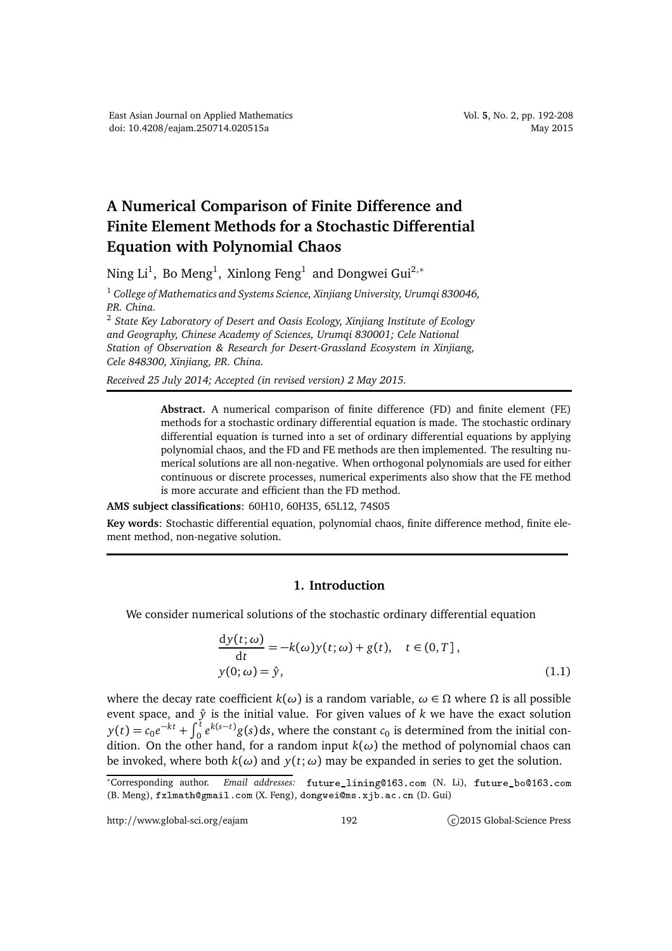## **A Numerical Comparison of Finite Difference and Finite Element Methods for a Stochastic Differential Equation with Polynomial Chaos**

Ning Li $^1$ , Bo Meng $^1$ , Xinlong Feng $^1$  and Dongwei Gui $^{2,\ast}$ 

<sup>1</sup> *College of Mathematics and Systems Science, Xinjiang University, Urumqi 830046, P.R. China.*

<sup>2</sup> *State Key Laboratory of Desert and Oasis Ecology, Xinjiang Institute of Ecology and Geography, Chinese Academy of Sciences, Urumqi 830001; Cele National Station of Observation & Research for Desert-Grassland Ecosystem in Xinjiang, Cele 848300, Xinjiang, P.R. China.*

*Received 25 July 2014; Accepted (in revised version) 2 May 2015.*

**Abstract.** A numerical comparison of finite difference (FD) and finite element (FE) methods for a stochastic ordinary differential equation is made. The stochastic ordinary differential equation is turned into a set of ordinary differential equations by applying polynomial chaos, and the FD and FE methods are then implemented. The resulting numerical solutions are all non-negative. When orthogonal polynomials are used for either continuous or discrete processes, numerical experiments also show that the FE method is more accurate and efficient than the FD method.

**AMS subject classifications**: 60H10, 60H35, 65L12, 74S05

**Key words**: Stochastic differential equation, polynomial chaos, finite difference method, finite element method, non-negative solution.

## **1. Introduction**

We consider numerical solutions of the stochastic ordinary differential equation

$$
\frac{dy(t; \omega)}{dt} = -k(\omega)y(t; \omega) + g(t), \quad t \in (0, T],
$$
  
y(0; \omega) =  $\hat{y}$ , (1.1)

where the decay rate coefficient  $k(\omega)$  is a random variable,  $\omega \in \Omega$  where  $\Omega$  is all possible event space, and  $\hat{y}$  is the initial value. For given values of  $k$  we have the exact solution  $y(t) = c_0 e^{-kt} + \int_0^t e^{k(s-t)} g(s) ds$ , where the constant *c*<sub>0</sub> is determined from the initial condition. On the other hand, for a random input  $k(\omega)$  the method of polynomial chaos can be invoked, where both  $k(\omega)$  and  $y(t;\omega)$  may be expanded in series to get the solution.

<sup>\*</sup>Corresponding author. Email addresses: future\_lining@163.com (N. Li), future\_bo@163.com (B. Meng), fxlmath@gmail.com (X. Feng), dongwei@ms.xjb.ac.cn (D. Gui)